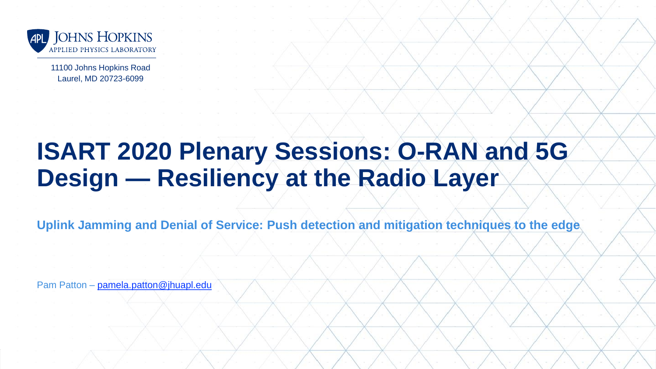

11100 Johns Hopkins Road Laurel, MD 20723-6099

# **ISART 2020 Plenary Sessions: O-RAN and 5G Design — Resiliency at the Radio Layer**

**Uplink Jamming and Denial of Service: Push detection and mitigation techniques to the edge**

JHU/APL **1**

Pam Patton – [pamela.patton@jhuapl.edu](mailto:pamela.patton@jhuapl.edu)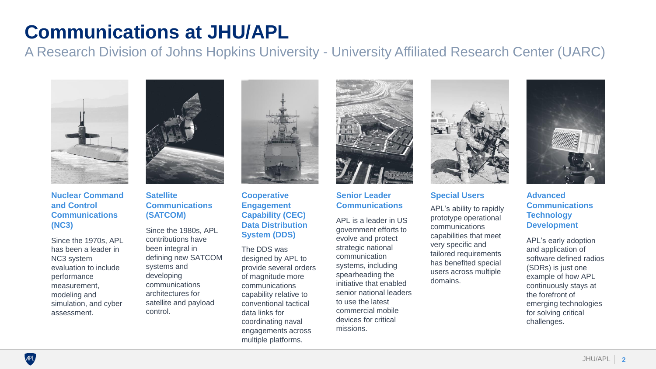# **Communications at JHU/APL**

A Research Division of Johns Hopkins University - University Affiliated Research Center (UARC)



### **Nuclear Command and Control Communications (NC3)** Since the 1980s, APL

Since the 1970s, APL has been a leader in NC3 system evaluation to include performance measurement, modeling and simulation, and cyber assessment.



### **Satellite Communications (SATCOM)**

contributions have been integral in defining new SATCOM systems and developing communications architectures for satellite and payload control.



**Cooperative Engagement Capability (CEC) Data Distribution System (DDS)** 

The DDS was designed by APL to provide several orders of magnitude more communications capability relative to conventional tactical data links for coordinating naval engagements across multiple platforms.



**Senior Leader Communications** 

APL is a leader in US government efforts to evolve and protect strategic national communication systems, including spearheading the initiative that enabled senior national leaders to use the latest commercial mobile devices for critical missions.



#### **Special Users**

APL's ability to rapidly prototype operational communications capabilities that meet very specific and tailored requirements has benefited special users across multiple domains.



### **Advanced Communications Technology Development**

APL's early adoption and application of software defined radios (SDRs) is just one example of how APL continuously stays at the forefront of emerging technologies for solving critical challenges.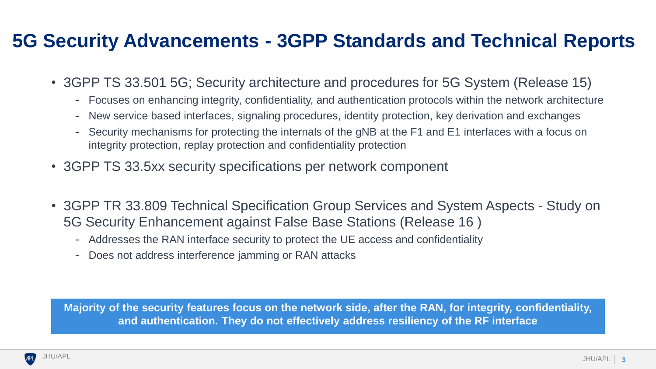## **5G Security Advancements - 3GPP Standards and Technical Reports**

- 3GPP TS 33.501 5G; Security architecture and procedures for 5G System (Release 15)
	- Focuses on enhancing integrity, confidentiality, and authentication protocols within the network architecture  $\overline{\phantom{m}}$
	- New service based interfaces, signaling procedures, identity protection, key derivation and exchanges  $\overline{\phantom{m}}$
	- Security mechanisms for protecting the internals of the gNB at the F1 and E1 interfaces with a focus on integrity protection, replay protection and confidentiality protection
- 3GPP TS 33.5xx security specifications per network component
- 3GPP TR 33.809 Technical Specification Group Services and System Aspects Study on 5G Security Enhancement against False Base Stations (Release 16 )
	- Addresses the RAN interface security to protect the UE access and confidentiality
	- Does not address interference jamming or RAN attacks

**Majority of the security features focus on the network side, after the RAN, for integrity, confidentiality, and authentication. They do not effectively address resiliency of the RF interface**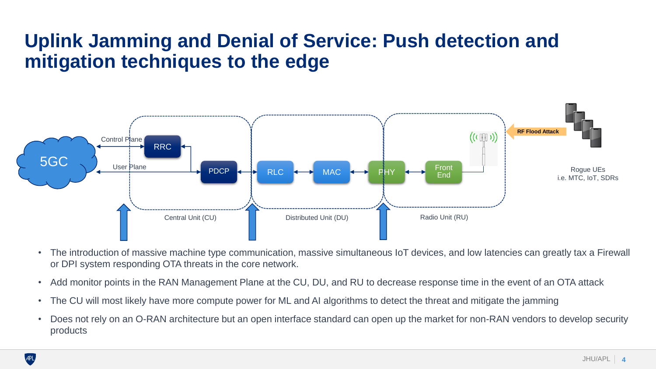## **Uplink Jamming and Denial of Service: Push detection and mitigation techniques to the edge**



- The introduction of massive machine type communication, massive simultaneous IoT devices, and low latencies can greatly tax a Firewall or DPI system responding OTA threats in the core network.
- Add monitor points in the RAN Management Plane at the CU, DU, and RU to decrease response time in the event of an OTA attack
- The CU will most likely have more compute power for ML and AI algorithms to detect the threat and mitigate the jamming
- Does not rely on an O-RAN architecture but an open interface standard can open up the market for non-RAN vendors to develop security products